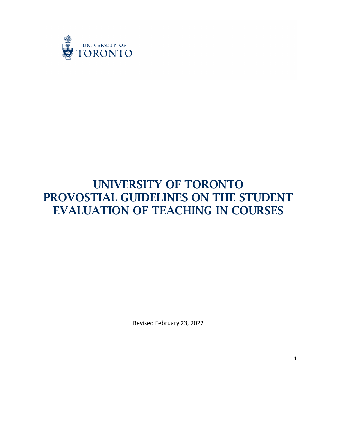

# UNIVERSITY OF TORONTO PROVOSTIAL GUIDELINES ON THE STUDENT EVALUATION OF TEACHING IN COURSES

Revised February 23, 2022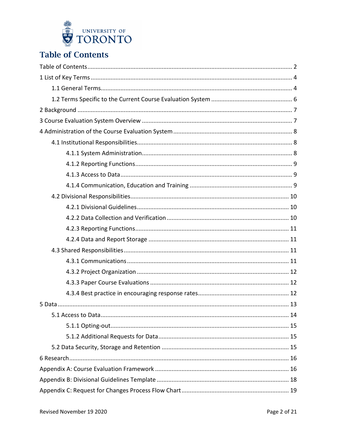

# <span id="page-1-0"></span>**Table of Contents**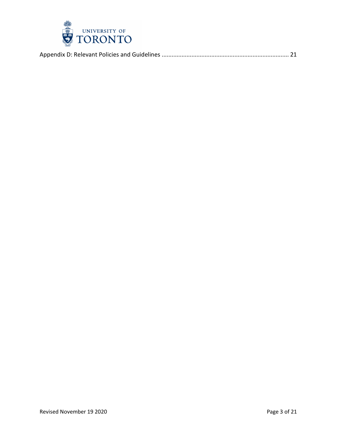

|--|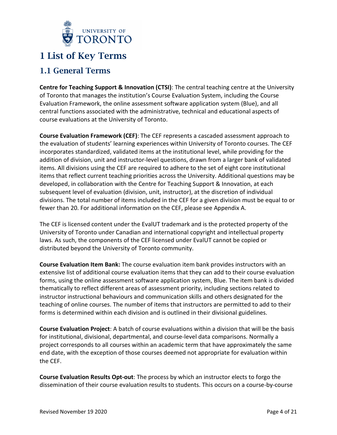

## <span id="page-3-0"></span>1 List of Key Terms

## <span id="page-3-1"></span>1.1 General Terms

**Centre for Teaching Support & Innovation (CTSI)**: The central teaching centre at the University of Toronto that manages the institution's Course Evaluation System, including the Course Evaluation Framework, the online assessment software application system (Blue), and all central functions associated with the administrative, technical and educational aspects of course evaluations at the University of Toronto.

**Course Evaluation Framework (CEF)**: The CEF represents a cascaded assessment approach to the evaluation of students' learning experiences within University of Toronto courses. The CEF incorporates standardized, validated items at the institutional level, while providing for the addition of division, unit and instructor-level questions, drawn from a larger bank of validated items. All divisions using the CEF are required to adhere to the set of eight core institutional items that reflect current teaching priorities across the University. Additional questions may be developed, in collaboration with the Centre for Teaching Support & Innovation, at each subsequent level of evaluation (division, unit, instructor), at the discretion of individual divisions. The total number of items included in the CEF for a given division must be equal to or fewer than 20. For additional information on the CEF, please see Appendix A.

The CEF is licensed content under the EvalUT trademark and is the protected property of the University of Toronto under Canadian and international copyright and intellectual property laws. As such, the components of the CEF licensed under EvalUT cannot be copied or distributed beyond the University of Toronto community.

**Course Evaluation Item Bank:** The course evaluation item bank provides instructors with an extensive list of additional course evaluation items that they can add to their course evaluation forms, using the online assessment software application system, Blue. The item bank is divided thematically to reflect different areas of assessment priority, including sections related to instructor instructional behaviours and communication skills and others designated for the teaching of online courses. The number of items that instructors are permitted to add to their forms is determined within each division and is outlined in their divisional guidelines.

**Course Evaluation Project**: A batch of course evaluations within a division that will be the basis for institutional, divisional, departmental, and course-level data comparisons. Normally a project corresponds to all courses within an academic term that have approximately the same end date, with the exception of those courses deemed not appropriate for evaluation within the CEF.

**Course Evaluation Results Opt-out**: The process by which an instructor elects to forgo the dissemination of their course evaluation results to students. This occurs on a course-by-course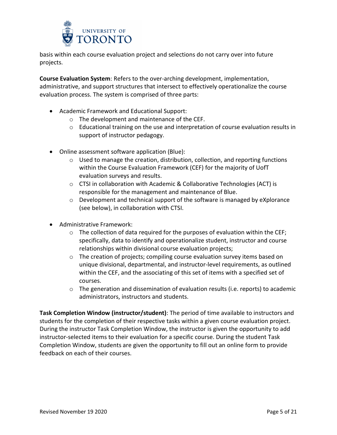

basis within each course evaluation project and selections do not carry over into future projects.

**Course Evaluation System**: Refers to the over-arching development, implementation, administrative, and support structures that intersect to effectively operationalize the course evaluation process. The system is comprised of three parts:

- Academic Framework and Educational Support:
	- o The development and maintenance of the CEF.
	- $\circ$  Educational training on the use and interpretation of course evaluation results in support of instructor pedagogy.
- Online assessment software application (Blue):
	- o Used to manage the creation, distribution, collection, and reporting functions within the Course Evaluation Framework (CEF) for the majority of UofT evaluation surveys and results.
	- o CTSI in collaboration with Academic & Collaborative Technologies (ACT) is responsible for the management and maintenance of Blue.
	- $\circ$  Development and technical support of the software is managed by eXplorance (see below), in collaboration with CTSI.
- Administrative Framework:
	- o The collection of data required for the purposes of evaluation within the CEF; specifically, data to identify and operationalize student, instructor and course relationships within divisional course evaluation projects;
	- o The creation of projects; compiling course evaluation survey items based on unique divisional, departmental, and instructor-level requirements, as outlined within the CEF, and the associating of this set of items with a specified set of courses.
	- $\circ$  The generation and dissemination of evaluation results (i.e. reports) to academic administrators, instructors and students.

**Task Completion Window (instructor/student)**: The period of time available to instructors and students for the completion of their respective tasks within a given course evaluation project. During the instructor Task Completion Window, the instructor is given the opportunity to add instructor-selected items to their evaluation for a specific course. During the student Task Completion Window, students are given the opportunity to fill out an online form to provide feedback on each of their courses.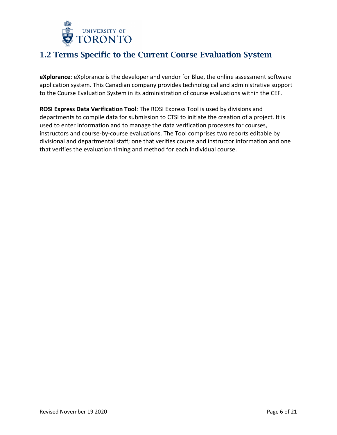

## <span id="page-5-0"></span>1.2 Terms Specific to the Current Course Evaluation System

**eXplorance**: eXplorance is the developer and vendor for Blue, the online assessment software application system. This Canadian company provides technological and administrative support to the Course Evaluation System in its administration of course evaluations within the CEF.

**ROSI Express Data Verification Tool**: The ROSI Express Tool is used by divisions and departments to compile data for submission to CTSI to initiate the creation of a project. It is used to enter information and to manage the data verification processes for courses, instructors and course-by-course evaluations. The Tool comprises two reports editable by divisional and departmental staff; one that verifies course and instructor information and one that verifies the evaluation timing and method for each individual course.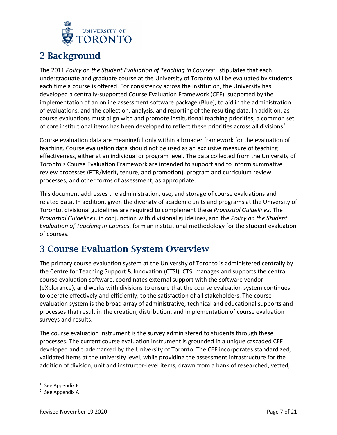

# <span id="page-6-0"></span>2 Background

The 2011 *Policy on the Student Evaluation of Teaching in Course[s1](#page-6-2)* stipulates that each undergraduate and graduate course at the University of Toronto will be evaluated by students each time a course is offered. For consistency across the institution, the University has developed a centrally-supported Course Evaluation Framework (CEF), supported by the implementation of an online assessment software package (Blue), to aid in the administration of evaluations, and the collection, analysis, and reporting of the resulting data. In addition, as course evaluations must align with and promote institutional teaching priorities, a common set of core institutional items has been developed to reflect these priorities across all divisions<sup>2</sup>.

Course evaluation data are meaningful only within a broader framework for the evaluation of teaching. Course evaluation data should not be used as an exclusive measure of teaching effectiveness, either at an individual or program level. The data collected from the University of Toronto's Course Evaluation Framework are intended to support and to inform summative review processes (PTR/Merit, tenure, and promotion), program and curriculum review processes, and other forms of assessment, as appropriate.

This document addresses the administration, use, and storage of course evaluations and related data. In addition, given the diversity of academic units and programs at the University of Toronto, divisional guidelines are required to complement these *Provostial Guidelines*. The *Provostial Guidelines*, in conjunction with divisional guidelines, and the *Policy on the Student Evaluation of Teaching in Courses*, form an institutional methodology for the student evaluation of courses.

# <span id="page-6-1"></span>3 Course Evaluation System Overview

The primary course evaluation system at the University of Toronto is administered centrally by the Centre for Teaching Support & Innovation (CTSI). CTSI manages and supports the central course evaluation software, coordinates external support with the software vendor (eXplorance), and works with divisions to ensure that the course evaluation system continues to operate effectively and efficiently, to the satisfaction of all stakeholders. The course evaluation system is the broad array of administrative, technical and educational supports and processes that result in the creation, distribution, and implementation of course evaluation surveys and results.

The course evaluation instrument is the survey administered to students through these processes. The current course evaluation instrument is grounded in a unique cascaded CEF developed and trademarked by the University of Toronto. The CEF incorporates standardized, validated items at the university level, while providing the assessment infrastructure for the addition of division, unit and instructor-level items, drawn from a bank of researched, vetted,

<span id="page-6-2"></span> $1$  See Appendix E

<span id="page-6-3"></span><sup>2</sup> See Appendix A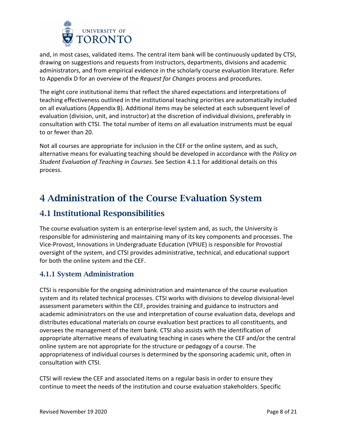

and, in most cases, validated items. The central item bank will be continuously updated by CTSI, drawing on suggestions and requests from instructors, departments, divisions and academic administrators, and from empirical evidence in the scholarly course evaluation literature. Refer to Appendix D for an overview of the *Request for Changes* process and procedures.

The eight core institutional items that reflect the shared expectations and interpretations of teaching effectiveness outlined in the institutional teaching priorities are automatically included on all evaluations (Appendix B). Additional items may be selected at each subsequent level of evaluation (division, unit, and instructor) at the discretion of individual divisions, preferably in consultation with CTSI. The total number of items on all evaluation instruments must be equal to or fewer than 20.

Not all courses are appropriate for inclusion in the CEF or the online system, and as such, alternative means for evaluating teaching should be developed in accordance with the *Policy on Student Evaluation of Teaching in Courses*. See Section 4.1.1 for additional details on this process.

# <span id="page-7-0"></span>4 Administration of the Course Evaluation System

## <span id="page-7-1"></span>4.1 Institutional Responsibilities

The course evaluation system is an enterprise-level system and, as such, the University is responsible for administering and maintaining many of its key components and processes. The Vice-Provost, Innovations in Undergraduate Education (VPIUE) is responsible for Provostial oversight of the system, and CTSI provides administrative, technical, and educational support for both the online system and the CEF.

## <span id="page-7-2"></span>4.1.1 System Administration

CTSI is responsible for the ongoing administration and maintenance of the course evaluation system and its related technical processes. CTSI works with divisions to develop divisional-level assessment parameters within the CEF, provides training and guidance to instructors and academic administrators on the use and interpretation of course evaluation data, develops and distributes educational materials on course evaluation best practices to all constituents, and oversees the management of the item bank. CTSI also assists with the identification of appropriate alternative means of evaluating teaching in cases where the CEF and/or the central online system are not appropriate for the structure or pedagogy of a course. The appropriateness of individual courses is determined by the sponsoring academic unit, often in consultation with CTSI.

CTSI will review the CEF and associated items on a regular basis in order to ensure they continue to meet the needs of the institution and course evaluation stakeholders. Specific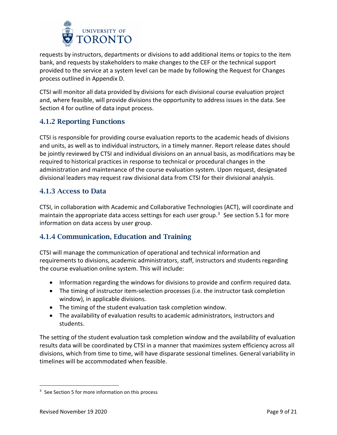

requests by instructors, departments or divisions to add additional items or topics to the item bank, and requests by stakeholders to make changes to the CEF or the technical support provided to the service at a system level can be made by following the Request for Changes process outlined in Appendix D.

CTSI will monitor all data provided by divisions for each divisional course evaluation project and, where feasible, will provide divisions the opportunity to address issues in the data. See Section 4 for outline of data input process.

## <span id="page-8-0"></span>4.1.2 Reporting Functions

CTSI is responsible for providing course evaluation reports to the academic heads of divisions and units, as well as to individual instructors, in a timely manner. Report release dates should be jointly reviewed by CTSI and individual divisions on an annual basis, as modifications may be required to historical practices in response to technical or procedural changes in the administration and maintenance of the course evaluation system. Upon request, designated divisional leaders may request raw divisional data from CTSI for their divisional analysis.

### <span id="page-8-1"></span>4.1.3 Access to Data

CTSI, in collaboration with Academic and Collaborative Technologies (ACT), will coordinate and maintain the appropriate data access settings for each user group.<sup>[3](#page-8-3)</sup> See section 5.1 for more information on data access by user group.

## <span id="page-8-2"></span>4.1.4 Communication, Education and Training

CTSI will manage the communication of operational and technical information and requirements to divisions, academic administrators, staff, instructors and students regarding the course evaluation online system. This will include:

- Information regarding the windows for divisions to provide and confirm required data.
- The timing of instructor item-selection processes (i.e. the instructor task completion window), in applicable divisions.
- The timing of the student evaluation task completion window.
- The availability of evaluation results to academic administrators, instructors and students.

The setting of the student evaluation task completion window and the availability of evaluation results data will be coordinated by CTSI in a manner that maximizes system efficiency across all divisions, which from time to time, will have disparate sessional timelines. General variability in timelines will be accommodated when feasible.

<span id="page-8-3"></span><sup>&</sup>lt;sup>3</sup> See Section 5 for more information on this process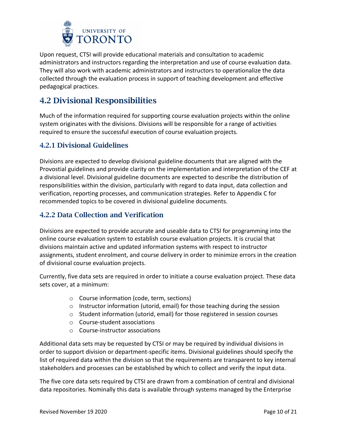

Upon request, CTSI will provide educational materials and consultation to academic administrators and instructors regarding the interpretation and use of course evaluation data. They will also work with academic administrators and instructors to operationalize the data collected through the evaluation process in support of teaching development and effective pedagogical practices.

## <span id="page-9-0"></span>4.2 Divisional Responsibilities

Much of the information required for supporting course evaluation projects within the online system originates with the divisions. Divisions will be responsible for a range of activities required to ensure the successful execution of course evaluation projects.

### <span id="page-9-1"></span>4.2.1 Divisional Guidelines

Divisions are expected to develop divisional guideline documents that are aligned with the Provostial guidelines and provide clarity on the implementation and interpretation of the CEF at a divisional level. Divisional guideline documents are expected to describe the distribution of responsibilities within the division, particularly with regard to data input, data collection and verification, reporting processes, and communication strategies. Refer to Appendix C for recommended topics to be covered in divisional guideline documents.

### <span id="page-9-2"></span>4.2.2 Data Collection and Verification

Divisions are expected to provide accurate and useable data to CTSI for programming into the online course evaluation system to establish course evaluation projects. It is crucial that divisions maintain active and updated information systems with respect to instructor assignments, student enrolment, and course delivery in order to minimize errors in the creation of divisional course evaluation projects.

Currently, five data sets are required in order to initiate a course evaluation project. These data sets cover, at a minimum:

- o Course information (code, term, sections)
- $\circ$  Instructor information (utorid, email) for those teaching during the session
- o Student information (utorid, email) for those registered in session courses
- o Course-student associations
- o Course-instructor associations

Additional data sets may be requested by CTSI or may be required by individual divisions in order to support division or department-specific items. Divisional guidelines should specify the list of required data within the division so that the requirements are transparent to key internal stakeholders and processes can be established by which to collect and verify the input data.

The five core data sets required by CTSI are drawn from a combination of central and divisional data repositories. Nominally this data is available through systems managed by the Enterprise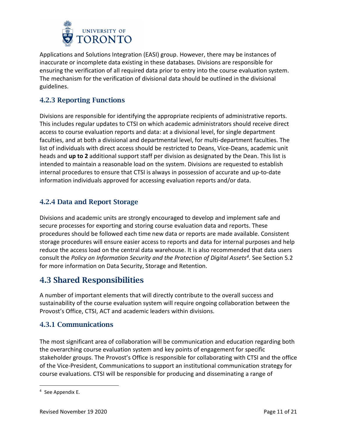

Applications and Solutions Integration (EASI) group. However, there may be instances of inaccurate or incomplete data existing in these databases. Divisions are responsible for ensuring the verification of all required data prior to entry into the course evaluation system. The mechanism for the verification of divisional data should be outlined in the divisional guidelines.

## <span id="page-10-0"></span>4.2.3 Reporting Functions

Divisions are responsible for identifying the appropriate recipients of administrative reports. This includes regular updates to CTSI on which academic administrators should receive direct access to course evaluation reports and data: at a divisional level, for single department faculties, and at both a divisional and departmental level, for multi-department faculties. The list of individuals with direct access should be restricted to Deans, Vice-Deans, academic unit heads and **up to 2** additional support staff per division as designated by the Dean. This list is intended to maintain a reasonable load on the system. Divisions are requested to establish internal procedures to ensure that CTSI is always in possession of accurate and up-to-date information individuals approved for accessing evaluation reports and/or data.

## <span id="page-10-1"></span>4.2.4 Data and Report Storage

Divisions and academic units are strongly encouraged to develop and implement safe and secure processes for exporting and storing course evaluation data and reports. These procedures should be followed each time new data or reports are made available. Consistent storage procedures will ensure easier access to reports and data for internal purposes and help reduce the access load on the central data warehouse. It is also recommended that data users consult the *Policy on Information Security and the Protection of Digital Assets[4](#page-10-4).* See Section 5.2 for more information on Data Security, Storage and Retention.

## <span id="page-10-2"></span>4.3 Shared Responsibilities

A number of important elements that will directly contribute to the overall success and sustainability of the course evaluation system will require ongoing collaboration between the Provost's Office, CTSI, ACT and academic leaders within divisions.

### <span id="page-10-3"></span>4.3.1 Communications

The most significant area of collaboration will be communication and education regarding both the overarching course evaluation system and key points of engagement for specific stakeholder groups. The Provost's Office is responsible for collaborating with CTSI and the office of the Vice-President, Communications to support an institutional communication strategy for course evaluations. CTSI will be responsible for producing and disseminating a range of

<span id="page-10-4"></span> <sup>4</sup> See Appendix E.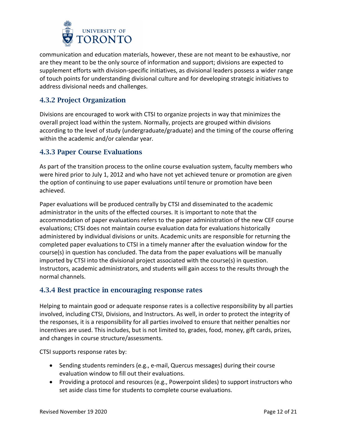

communication and education materials, however, these are not meant to be exhaustive, nor are they meant to be the only source of information and support; divisions are expected to supplement efforts with division-specific initiatives, as divisional leaders possess a wider range of touch points for understanding divisional culture and for developing strategic initiatives to address divisional needs and challenges.

## <span id="page-11-0"></span>4.3.2 Project Organization

Divisions are encouraged to work with CTSI to organize projects in way that minimizes the overall project load within the system. Normally, projects are grouped within divisions according to the level of study (undergraduate/graduate) and the timing of the course offering within the academic and/or calendar year.

### <span id="page-11-1"></span>4.3.3 Paper Course Evaluations

As part of the transition process to the online course evaluation system, faculty members who were hired prior to July 1, 2012 and who have not yet achieved tenure or promotion are given the option of continuing to use paper evaluations until tenure or promotion have been achieved.

Paper evaluations will be produced centrally by CTSI and disseminated to the academic administrator in the units of the effected courses. It is important to note that the accommodation of paper evaluations refers to the paper administration of the new CEF course evaluations; CTSI does not maintain course evaluation data for evaluations historically administered by individual divisions or units. Academic units are responsible for returning the completed paper evaluations to CTSI in a timely manner after the evaluation window for the course(s) in question has concluded. The data from the paper evaluations will be manually imported by CTSI into the divisional project associated with the course(s) in question. Instructors, academic administrators, and students will gain access to the results through the normal channels.

### <span id="page-11-2"></span>4.3.4 Best practice in encouraging response rates

Helping to maintain good or adequate response rates is a collective responsibility by all parties involved, including CTSI, Divisions, and Instructors. As well, in order to protect the integrity of the responses, it is a responsibility for all parties involved to ensure that neither penalties nor incentives are used. This includes, but is not limited to, grades, food, money, gift cards, prizes, and changes in course structure/assessments.

CTSI supports response rates by:

- Sending students reminders (e.g., e-mail, Quercus messages) during their course evaluation window to fill out their evaluations.
- Providing a protocol and resources (e.g., Powerpoint slides) to support instructors who set aside class time for students to complete course evaluations.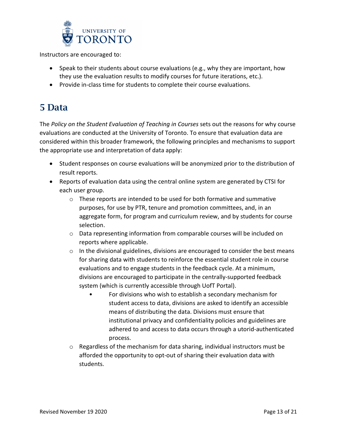

Instructors are encouraged to:

- Speak to their students about course evaluations (e.g., why they are important, how they use the evaluation results to modify courses for future iterations, etc.).
- Provide in-class time for students to complete their course evaluations.

# <span id="page-12-0"></span>5 Data

The *Policy on the Student Evaluation of Teaching in Courses* sets out the reasons for why course evaluations are conducted at the University of Toronto. To ensure that evaluation data are considered within this broader framework, the following principles and mechanisms to support the appropriate use and interpretation of data apply:

- Student responses on course evaluations will be anonymized prior to the distribution of result reports.
- Reports of evaluation data using the central online system are generated by CTSI for each user group.
	- o These reports are intended to be used for both formative and summative purposes, for use by PTR, tenure and promotion committees, and, in an aggregate form, for program and curriculum review, and by students for course selection.
	- o Data representing information from comparable courses will be included on reports where applicable.
	- $\circ$  In the divisional guidelines, divisions are encouraged to consider the best means for sharing data with students to reinforce the essential student role in course evaluations and to engage students in the feedback cycle. At a minimum, divisions are encouraged to participate in the centrally-supported feedback system (which is currently accessible through UofT Portal).
		- For divisions who wish to establish a secondary mechanism for student access to data, divisions are asked to identify an accessible means of distributing the data. Divisions must ensure that institutional privacy and confidentiality policies and guidelines are adhered to and access to data occurs through a utorid-authenticated process.
	- $\circ$  Regardless of the mechanism for data sharing, individual instructors must be afforded the opportunity to opt-out of sharing their evaluation data with students.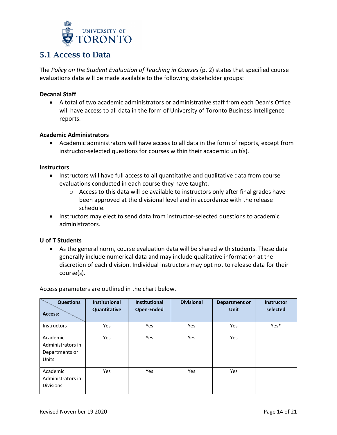

## <span id="page-13-0"></span>5.1 Access to Data

The *Policy on the Student Evaluation of Teaching in Courses* (p. 2) states that specified course evaluations data will be made available to the following stakeholder groups:

#### **Decanal Staff**

• A total of two academic administrators or administrative staff from each Dean's Office will have access to all data in the form of University of Toronto Business Intelligence reports.

#### **Academic Administrators**

• Academic administrators will have access to all data in the form of reports, except from instructor-selected questions for courses within their academic unit(s).

#### **Instructors**

- Instructors will have full access to all quantitative and qualitative data from course evaluations conducted in each course they have taught.
	- o Access to this data will be available to instructors only after final grades have been approved at the divisional level and in accordance with the release schedule.
- Instructors may elect to send data from instructor-selected questions to academic administrators.

#### **U of T Students**

• As the general norm, course evaluation data will be shared with students. These data generally include numerical data and may include qualitative information at the discretion of each division. Individual instructors may opt not to release data for their course(s).

| <b>Questions</b><br>Access:                              | <b>Institutional</b><br>Quantitative | <b>Institutional</b><br>Open-Ended | <b>Divisional</b> | <b>Department or</b><br><b>Unit</b> | <b>Instructor</b><br>selected |
|----------------------------------------------------------|--------------------------------------|------------------------------------|-------------------|-------------------------------------|-------------------------------|
| Instructors                                              | <b>Yes</b>                           | Yes                                | Yes               | Yes                                 | Yes*                          |
| Academic<br>Administrators in<br>Departments or<br>Units | Yes                                  | Yes                                | Yes               | Yes                                 |                               |
| Academic<br>Administrators in<br><b>Divisions</b>        | <b>Yes</b>                           | Yes                                | Yes               | Yes                                 |                               |

Access parameters are outlined in the chart below.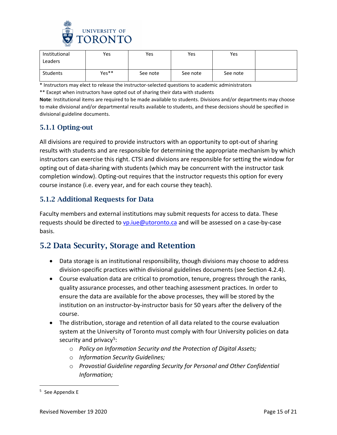

| Institutional<br>Leaders | Yes   | Yes      | Yes      | Yes      |  |
|--------------------------|-------|----------|----------|----------|--|
| Students                 | Yes** | See note | See note | See note |  |

\* Instructors may elect to release the instructor-selected questions to academic administrators

\*\* Except when instructors have opted out of sharing their data with students

**Note**: Institutional items are required to be made available to students. Divisions and/or departments may choose to make divisional and/or departmental results available to students, and these decisions should be specified in divisional guideline documents.

### <span id="page-14-0"></span>5.1.1 Opting-out

All divisions are required to provide instructors with an opportunity to opt-out of sharing results with students and are responsible for determining the appropriate mechanism by which instructors can exercise this right. CTSI and divisions are responsible for setting the window for opting out of data-sharing with students (which may be concurrent with the instructor task completion window). Opting-out requires that the instructor requests this option for every course instance (i.e. every year, and for each course they teach).

### <span id="page-14-1"></span>5.1.2 Additional Requests for Data

Faculty members and external institutions may submit requests for access to data. These requests should be directed to  $v$ p.iue@utoronto.ca and will be assessed on a case-by-case basis.

## <span id="page-14-2"></span>5.2 Data Security, Storage and Retention

- Data storage is an institutional responsibility, though divisions may choose to address division-specific practices within divisional guidelines documents (see Section 4.2.4).
- Course evaluation data are critical to promotion, tenure, progress through the ranks, quality assurance processes, and other teaching assessment practices. In order to ensure the data are available for the above processes, they will be stored by the institution on an instructor-by-instructor basis for 50 years after the delivery of the course.
- The distribution, storage and retention of all data related to the course evaluation system at the University of Toronto must comply with four University policies on data security and privacy<sup>5</sup>:
	- o *Policy on Information Security and the Protection of Digital Assets;*
	- o *Information Security Guidelines;*
	- o *Provostial Guideline regarding Security for Personal and Other Confidential Information;*

<span id="page-14-3"></span> <sup>5</sup> See Appendix E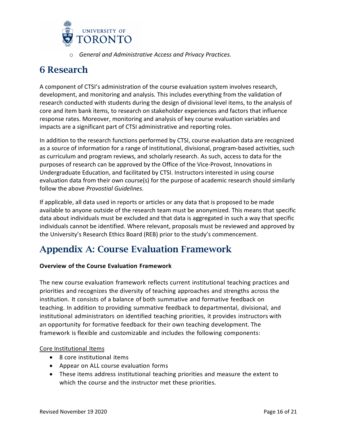

o *General and Administrative Access and Privacy Practices.*

# <span id="page-15-0"></span>6 Research

A component of CTSI's administration of the course evaluation system involves research, development, and monitoring and analysis. This includes everything from the validation of research conducted with students during the design of divisional level items, to the analysis of core and item bank items, to research on stakeholder experiences and factors that influence response rates. Moreover, monitoring and analysis of key course evaluation variables and impacts are a significant part of CTSI administrative and reporting roles.

In addition to the research functions performed by CTSI, course evaluation data are recognized as a source of information for a range of institutional, divisional, program-based activities, such as curriculum and program reviews, and scholarly research. As such, access to data for the purposes of research can be approved by the Office of the Vice-Provost, Innovations in Undergraduate Education, and facilitated by CTSI. Instructors interested in using course evaluation data from their own course(s) for the purpose of academic research should similarly follow the above *Provostial Guidelines*.

If applicable, all data used in reports or articles or any data that is proposed to be made available to anyone outside of the research team must be anonymized. This means that specific data about individuals must be excluded and that data is aggregated in such a way that specific individuals cannot be identified. Where relevant, proposals must be reviewed and approved by the University's Research Ethics Board (REB) prior to the study's commencement.

# <span id="page-15-1"></span>Appendix A: Course Evaluation Framework

### **Overview of the Course Evaluation Framework**

The new course evaluation framework reflects current institutional teaching practices and priorities and recognizes the diversity of teaching approaches and strengths across the institution. It consists of a balance of both summative and formative feedback on teaching. In addition to providing summative feedback to departmental, divisional, and institutional administrators on identified teaching priorities, it provides instructors with an opportunity for formative feedback for their own teaching development. The framework is flexible and customizable and includes the following components:

#### Core Institutional Items

- 8 core institutional items
- Appear on ALL course evaluation forms
- These items address institutional teaching priorities and measure the extent to which the course and the instructor met these priorities.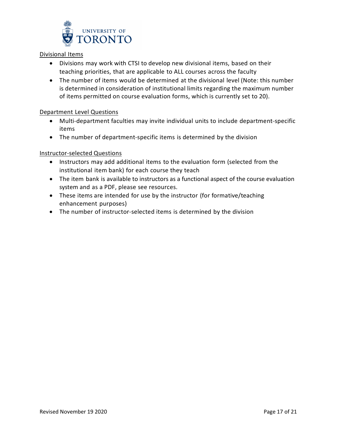

#### Divisional Items

- Divisions may work with CTSI to develop new divisional items, based on their teaching priorities, that are applicable to ALL courses across the faculty
- The number of items would be determined at the divisional level (Note: this number is determined in consideration of institutional limits regarding the maximum number of items permitted on course evaluation forms, which is currently set to 20).

#### Department Level Questions

- Multi-department faculties may invite individual units to include department-specific items
- The number of department-specific items is determined by the division

#### Instructor-selected Questions

- Instructors may add additional items to the evaluation form (selected from the institutional item bank) for each course they teach
- The item bank is available to instructors as a functional aspect of the course evaluation system and as a PDF, please see resources.
- These items are intended for use by the instructor (for formative/teaching enhancement purposes)
- The number of instructor-selected items is determined by the division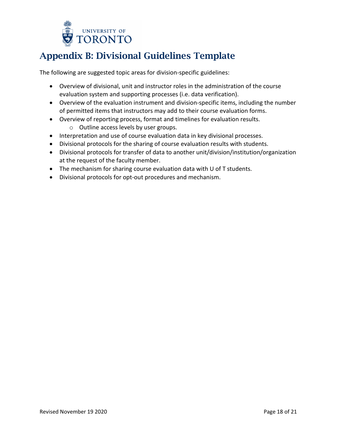

# <span id="page-17-0"></span>Appendix B: Divisional Guidelines Template

The following are suggested topic areas for division-specific guidelines:

- Overview of divisional, unit and instructor roles in the administration of the course evaluation system and supporting processes (i.e. data verification).
- Overview of the evaluation instrument and division-specific items, including the number of permitted items that instructors may add to their course evaluation forms.
- Overview of reporting process, format and timelines for evaluation results.
	- o Outline access levels by user groups.
- Interpretation and use of course evaluation data in key divisional processes.
- Divisional protocols for the sharing of course evaluation results with students.
- Divisional protocols for transfer of data to another unit/division/institution/organization at the request of the faculty member.
- The mechanism for sharing course evaluation data with U of T students.
- Divisional protocols for opt-out procedures and mechanism.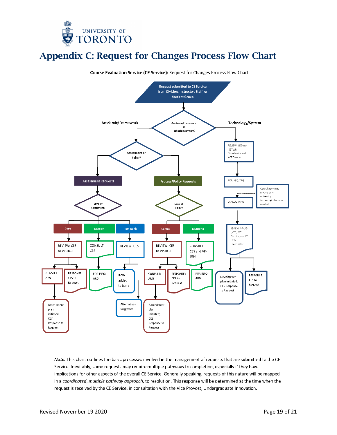

## <span id="page-18-0"></span>Appendix C: Request for Changes Process Flow Chart



Note. This chart outlines the basic processes involved in the management of requests that are submitted to the CE Service. Inevitably, some requests may require multiple pathways to completion, especially if they have implications for other aspects of the overall CE Service. Generally speaking, requests of this nature will be mapped in a coordinated, multiple pathway approach, to resolution. This response will be determined at the time when the request is received by the CE Service, in consultation with the Vice Provost, Undergraduate Innovation.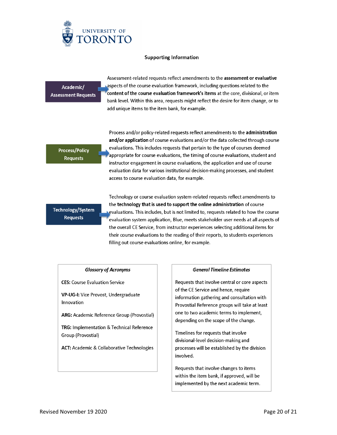

#### **Supporting Information**

Academic/ **Assessment Requests** 

Assessment-related requests reflect amendments to the assessment or evaluative Aspects of the course evaluation framework, including questions related to the content of the course evaluation framework's items at the core, divisional, or item bank level. Within this area, requests might reflect the desire for item change, or to add unique items to the item bank, for example.

#### **Process/Policy Requests**

Process and/or policy-related requests reflect amendments to the administration and/or application of course evaluations and/or the data collected through course evaluations. This includes requests that pertain to the type of courses deemed appropriate for course evaluations, the timing of course evaluations, student and instructor engagement in course evaluations, the application and use of course evaluation data for various institutional decision-making processes, and student access to course evaluation data, for example.

### Technology/System **Requests**

Technology or course evaluation system-related requests reflect amendments to the technology that is used to support the online administration of course evaluations. This includes, but is not limited to, requests related to how the course evaluation system application, Blue, meets stakeholder user needs at all aspects of the overall CE Service, from instructor experiences selecting additional items for their course evaluations to the reading of their reports, to students experiences filling out course evaluations online, for example.

#### **Glossary of Acronyms**

**CES:** Course Evaluation Service

VP-UG-I: Vice Provost, Undergraduate Innovation

ARG: Academic Reference Group (Provostial)

TRG: Implementation & Technical Reference Group (Provostial)

ACT: Academic & Collaborative Technologies

#### **General Timeline Estimates**

Requests that involve central or core aspects of the CE Service and hence, require information gathering and consultation with Provostial Reference groups will take at least one to two academic terms to implement, depending on the scope of the change.

Timelines for requests that involve divisional-level decision-making and processes will be established by the division involved.

Requests that involve changes to items within the item bank, if approved, will be implemented by the next academic term.